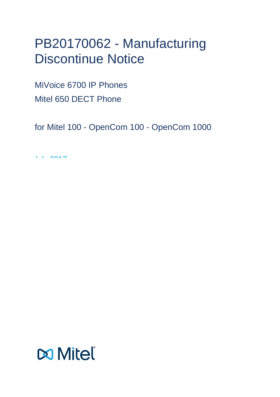# PB20170062 - Manufacturing Discontinue Notice

MiVoice 6700 IP Phones Mitel 650 DECT Phone

for Mitel 100 - OpenCom 100 - OpenCom 1000

July 2017

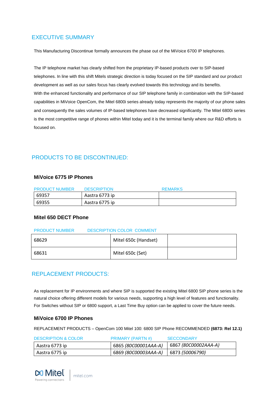# <span id="page-2-0"></span>EXECUTIVE SUMMARY

This Manufacturing Discontinue formally announces the phase out of the MiVoice 6700 IP telephones.

The IP telephone market has clearly shifted from the proprietary IP-based products over to SIP-based telephones. In line with this shift Mitels strategic direction is today focused on the SIP standard and our product development as well as our sales focus has clearly evolved towards this technology and its benefits. With the enhanced functionality and performance of our SIP telephone family in combination with the SIP-based capabilities in MiVoice OpenCom, the Mitel 6800i series already today represents the majority of our phone sales and consequently the sales volumes of IP-based telephones have decreased significantly. The Mitel 6800i series is the most competitive range of phones within Mitel today and it is the terminal family where our R&D efforts is focused on.

# <span id="page-2-1"></span>PRODUCTS TO BE DISCONTINUED:

#### **MiVoice 6775 IP Phones**

| <b>PRODUCT NUMBER</b> | <b>DESCRIPTION</b> | <b>REMARKS</b> |
|-----------------------|--------------------|----------------|
| 69357                 | Aastra 6773 ip     |                |
| 69355                 | Aastra 6775 ip     |                |

## **Mitel 650 DECT Phone**

#### PRODUCT NUMBER DESCRIPTION COLOR COMMENT

| 68629 | Mitel 650c (Handset) |  |
|-------|----------------------|--|
| 68631 | Mitel 650c (Set)     |  |

## <span id="page-2-2"></span>REPLACEMENT PRODUCTS:

As replacement for IP environments and where SIP is supported the existing Mitel 6800 SIP phone series is the natural choice offering different models for various needs, supporting a high level of features and functionality. For Switches without SIP or 6800 support, a Last Time Buy option can be applied to cover the future needs.

## **MiVoice 6700 IP Phones**

REPLACEMENT PRODUCTS – OpenCom 100 Mitel 100: 6800 SIP Phone RECOMMENDED **(6873: Rel 12.1)**

| <b>DESCRIPTION &amp; COLOR</b> | <b>PRIMARY (PARTN #)</b>                                    | <b>SECCONDARY</b> |
|--------------------------------|-------------------------------------------------------------|-------------------|
| Aastra 6773 ip                 | ' 6865 <i>(80C00001AAA-A)</i>   6867 <i>(80C00002AAA-A)</i> |                   |
| Aastra 6775 ip                 | 6869 (80C00003AAA-A)   6873 (50006790)                      |                   |

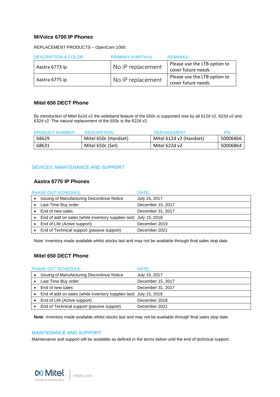#### **MiVoice 6700 IP Phones**

REPLACEMENT PRODUCTS – OpenCom 1000:

| <b>DESCRIPTION &amp; COLOR</b> | <b>PRIMARY (PARTN#)</b> | <b>REMARKS</b>               |
|--------------------------------|-------------------------|------------------------------|
| Aastra 6773 ip                 | No IP replacement       | Please use the LTB option to |
|                                |                         | cover future needs           |
|                                | No IP replacement       | Please use the LTB option to |
| Aastra 6775 ip                 |                         | cover future needs           |

#### **Mitel 650 DECT Phone**

By introduction of Mitel 6x2d v2 the wideband feature of the 650c is supported now by all 612d v2, 622d v2 and 632d v2. The natural replacement of the 650c is the 622d v2.

| <b>PRODUCT NUMBER</b> | <b>DESCRIPTION</b>   | <b>REPLACEMENT</b>      | <b>PN</b> |
|-----------------------|----------------------|-------------------------|-----------|
| 68629                 | Mitel 650c (Handset) | Mitel 612d v2 (Handset) | 50006866  |
| 68631                 | Mitel 650c (Set)     | Mitel 622d v2           | 50006864  |

#### <span id="page-3-0"></span>DEVICES, MAINTENANCE AND SUPPORT

#### **Aastra 6770 IP Phones**

| <b>PHASE OUT SCHEDULE:</b>                                        | DATE:             |
|-------------------------------------------------------------------|-------------------|
| Issuing of Manufacturing Discontinue Notice                       | July 15, 2017     |
| Last Time Buy order                                               | December 15, 2017 |
| End of new sales                                                  | December 31, 2017 |
| End of add on sales (while inventory supplies last) July 15, 2018 |                   |
| End of Life (Active support)                                      | December 2019     |
| End of Technical support (passive support)                        | December 2021     |

Note: Inventory made available whilst stocks last and may not be available through final sales stop date.

## **Mitel 650 DECT Phone**

| <b>PHASE OUT SCHEDULE:</b>                                        | DATE:             |
|-------------------------------------------------------------------|-------------------|
| Issuing of Manufacturing Discontinue Notice                       | July 15, 2017     |
| Last Time Buy order                                               | December 15, 2017 |
| End of new sales                                                  | December 31, 2017 |
| End of add on sales (while inventory supplies last) July 15, 2018 |                   |
| End of Life (Active support)                                      | December 2018     |
| End of Technical support (passive support)                        | December 2021     |

**Note**: Inventory made available whilst stocks last and may not be available through final sales stop date.

#### <span id="page-3-1"></span>MAINTENANCE AND SUPPORT

Maintenance and support will be available as defined in the terms below until the end of technical support.

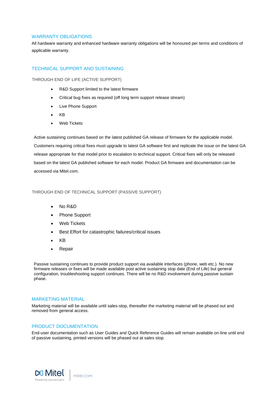#### <span id="page-4-0"></span>WARRANTY OBLIGATIONS

All hardware warranty and enhanced hardware warranty obligations will be honoured per terms and conditions of applicable warranty.

#### <span id="page-4-1"></span>TECHNICAL SUPPORT AND SUSTAINING

<span id="page-4-2"></span>THROUGH END OF LIFE (ACTIVE SUPPORT)

- R&D Support limited to the latest firmware
- Critical bug fixes as required (off long term support release stream)
- Live Phone Support
- KB
- Web Tickets

Active sustaining continues based on the latest published GA release of firmware for the applicable model. Customers requiring critical fixes must upgrade to latest GA software first and replicate the issue on the latest GA release appropriate for that model prior to escalation to technical support. Critical fixes will only be released based on the latest GA published software for each model. Product GA firmware and documentation can be accessed via Mitel.com.

#### <span id="page-4-3"></span>THROUGH END OF TECHNICAL SUPPORT (PASSIVE SUPPORT)

- No R&D
- Phone Support
- Web Tickets
- Best Effort for catastrophic failures/critical issues
- KB
- Repair

Passive sustaining continues to provide product support via available interfaces (phone, web etc.). No new firmware releases or fixes will be made available post active sustaining stop date (End of Life) but general configuration, troubleshooting support continues. There will be no R&D involvement during passive sustain phase.

#### <span id="page-4-4"></span>MARKETING MATERIAL

Marketing material will be available until sales-stop, thereafter the marketing material will be phased out and removed from general access.

#### <span id="page-4-5"></span>PRODUCT DOCUMENTATION

End-user documentation such as User Guides and Quick Reference Guides will remain available on-line until end of passive sustaining, printed versions will be phased out at sales stop.